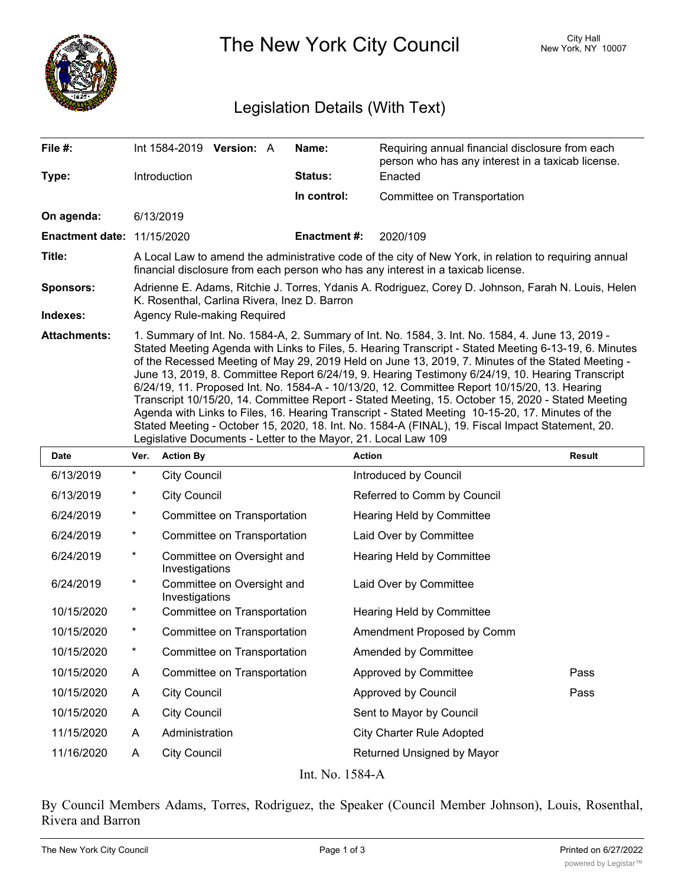

The New York City Council New York, NY 10007

## Legislation Details (With Text)

| File #:                           |                                                                                                                                                                                                                                                                                                                                                                                                                                                                                                                                                                                                                                                                                                                                                                                                                                                                                                   | Int 1584-2019 Version: A |  | Name:               | Requiring annual financial disclosure from each              |               |  |
|-----------------------------------|---------------------------------------------------------------------------------------------------------------------------------------------------------------------------------------------------------------------------------------------------------------------------------------------------------------------------------------------------------------------------------------------------------------------------------------------------------------------------------------------------------------------------------------------------------------------------------------------------------------------------------------------------------------------------------------------------------------------------------------------------------------------------------------------------------------------------------------------------------------------------------------------------|--------------------------|--|---------------------|--------------------------------------------------------------|---------------|--|
| Type:                             | <b>Introduction</b>                                                                                                                                                                                                                                                                                                                                                                                                                                                                                                                                                                                                                                                                                                                                                                                                                                                                               |                          |  | <b>Status:</b>      | person who has any interest in a taxicab license.<br>Enacted |               |  |
|                                   |                                                                                                                                                                                                                                                                                                                                                                                                                                                                                                                                                                                                                                                                                                                                                                                                                                                                                                   |                          |  | In control:         | Committee on Transportation                                  |               |  |
| On agenda:                        | 6/13/2019                                                                                                                                                                                                                                                                                                                                                                                                                                                                                                                                                                                                                                                                                                                                                                                                                                                                                         |                          |  |                     |                                                              |               |  |
| <b>Enactment date: 11/15/2020</b> |                                                                                                                                                                                                                                                                                                                                                                                                                                                                                                                                                                                                                                                                                                                                                                                                                                                                                                   |                          |  | <b>Enactment #:</b> | 2020/109                                                     |               |  |
| Title:                            | A Local Law to amend the administrative code of the city of New York, in relation to requiring annual<br>financial disclosure from each person who has any interest in a taxicab license.                                                                                                                                                                                                                                                                                                                                                                                                                                                                                                                                                                                                                                                                                                         |                          |  |                     |                                                              |               |  |
| <b>Sponsors:</b><br>Indexes:      | Adrienne E. Adams, Ritchie J. Torres, Ydanis A. Rodriguez, Corey D. Johnson, Farah N. Louis, Helen<br>K. Rosenthal, Carlina Rivera, Inez D. Barron                                                                                                                                                                                                                                                                                                                                                                                                                                                                                                                                                                                                                                                                                                                                                |                          |  |                     |                                                              |               |  |
|                                   | Agency Rule-making Required                                                                                                                                                                                                                                                                                                                                                                                                                                                                                                                                                                                                                                                                                                                                                                                                                                                                       |                          |  |                     |                                                              |               |  |
| <b>Attachments:</b>               | 1. Summary of Int. No. 1584-A, 2. Summary of Int. No. 1584, 3. Int. No. 1584, 4. June 13, 2019 -<br>Stated Meeting Agenda with Links to Files, 5. Hearing Transcript - Stated Meeting 6-13-19, 6. Minutes<br>of the Recessed Meeting of May 29, 2019 Held on June 13, 2019, 7. Minutes of the Stated Meeting -<br>June 13, 2019, 8. Committee Report 6/24/19, 9. Hearing Testimony 6/24/19, 10. Hearing Transcript<br>6/24/19, 11. Proposed Int. No. 1584-A - 10/13/20, 12. Committee Report 10/15/20, 13. Hearing<br>Transcript 10/15/20, 14. Committee Report - Stated Meeting, 15. October 15, 2020 - Stated Meeting<br>Agenda with Links to Files, 16. Hearing Transcript - Stated Meeting 10-15-20, 17. Minutes of the<br>Stated Meeting - October 15, 2020, 18. Int. No. 1584-A (FINAL), 19. Fiscal Impact Statement, 20.<br>Legislative Documents - Letter to the Mayor, 21. Local Law 109 |                          |  |                     |                                                              |               |  |
| Date                              | Ver. Action By                                                                                                                                                                                                                                                                                                                                                                                                                                                                                                                                                                                                                                                                                                                                                                                                                                                                                    |                          |  | <b>Action</b>       |                                                              | <b>Result</b> |  |

| <b>Date</b> | Ver.     | <b>Action By</b>                             | Action                           | Result |  |  |  |
|-------------|----------|----------------------------------------------|----------------------------------|--------|--|--|--|
| 6/13/2019   | $^\star$ | <b>City Council</b>                          | Introduced by Council            |        |  |  |  |
| 6/13/2019   | $^\star$ | <b>City Council</b>                          | Referred to Comm by Council      |        |  |  |  |
| 6/24/2019   | $^\star$ | Committee on Transportation                  | Hearing Held by Committee        |        |  |  |  |
| 6/24/2019   | $^\star$ | Committee on Transportation                  | Laid Over by Committee           |        |  |  |  |
| 6/24/2019   | $\star$  | Committee on Oversight and<br>Investigations | Hearing Held by Committee        |        |  |  |  |
| 6/24/2019   | $^\star$ | Committee on Oversight and<br>Investigations | Laid Over by Committee           |        |  |  |  |
| 10/15/2020  | $^\star$ | Committee on Transportation                  | Hearing Held by Committee        |        |  |  |  |
| 10/15/2020  | $\ast$   | Committee on Transportation                  | Amendment Proposed by Comm       |        |  |  |  |
| 10/15/2020  | $^\star$ | Committee on Transportation                  | Amended by Committee             |        |  |  |  |
| 10/15/2020  | A        | Committee on Transportation                  | Approved by Committee            | Pass   |  |  |  |
| 10/15/2020  | A        | <b>City Council</b>                          | Approved by Council              | Pass   |  |  |  |
| 10/15/2020  | A        | <b>City Council</b>                          | Sent to Mayor by Council         |        |  |  |  |
| 11/15/2020  | A        | Administration                               | <b>City Charter Rule Adopted</b> |        |  |  |  |
| 11/16/2020  | A        | <b>City Council</b>                          | Returned Unsigned by Mayor       |        |  |  |  |
|             |          |                                              |                                  |        |  |  |  |

Int. No. 1584-A

By Council Members Adams, Torres, Rodriguez, the Speaker (Council Member Johnson), Louis, Rosenthal, Rivera and Barron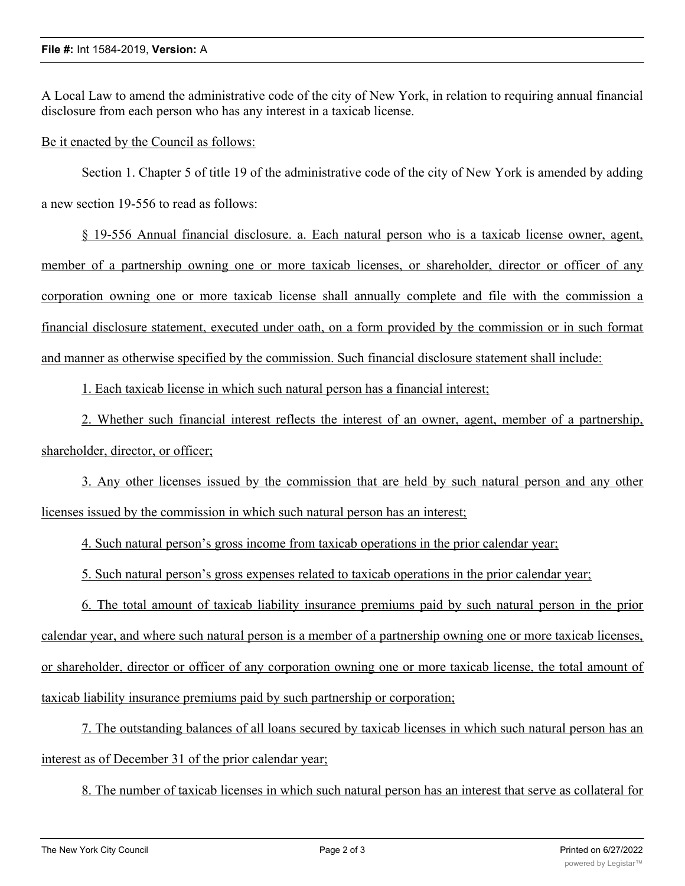A Local Law to amend the administrative code of the city of New York, in relation to requiring annual financial disclosure from each person who has any interest in a taxicab license.

Be it enacted by the Council as follows:

Section 1. Chapter 5 of title 19 of the administrative code of the city of New York is amended by adding a new section 19-556 to read as follows:

§ 19-556 Annual financial disclosure. a. Each natural person who is a taxicab license owner, agent, member of a partnership owning one or more taxicab licenses, or shareholder, director or officer of any corporation owning one or more taxicab license shall annually complete and file with the commission a financial disclosure statement, executed under oath, on a form provided by the commission or in such format and manner as otherwise specified by the commission. Such financial disclosure statement shall include:

1. Each taxicab license in which such natural person has a financial interest;

2. Whether such financial interest reflects the interest of an owner, agent, member of a partnership, shareholder, director, or officer;

3. Any other licenses issued by the commission that are held by such natural person and any other licenses issued by the commission in which such natural person has an interest;

4. Such natural person's gross income from taxicab operations in the prior calendar year;

5. Such natural person's gross expenses related to taxicab operations in the prior calendar year;

6. The total amount of taxicab liability insurance premiums paid by such natural person in the prior calendar year, and where such natural person is a member of a partnership owning one or more taxicab licenses, or shareholder, director or officer of any corporation owning one or more taxicab license, the total amount of taxicab liability insurance premiums paid by such partnership or corporation;

7. The outstanding balances of all loans secured by taxicab licenses in which such natural person has an interest as of December 31 of the prior calendar year;

8. The number of taxicab licenses in which such natural person has an interest that serve as collateral for